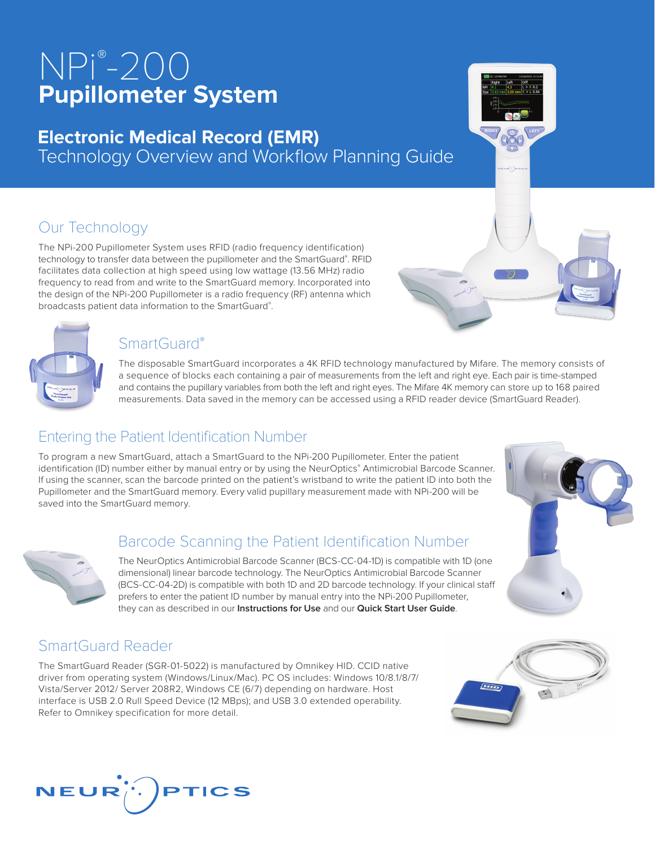# NPi® -200 **Pupillometer System**

# **Electronic Medical Record (EMR)**  Technology Overview and Workflow Planning Guide

# Our Technology

The NPi-200 Pupillometer System uses RFID (radio frequency identification) technology to transfer data between the pupillometer and the SmartGuard® . RFID facilitates data collection at high speed using low wattage (13.56 MHz) radio frequency to read from and write to the SmartGuard memory. Incorporated into the design of the NPi-200 Pupillometer is a radio frequency (RF) antenna which broadcasts patient data information to the SmartGuard® .

#### SmartGuard®

The disposable SmartGuard incorporates a 4K RFID technology manufactured by Mifare. The memory consists of a sequence of blocks each containing a pair of measurements from the left and right eye. Each pair is time-stamped and contains the pupillary variables from both the left and right eyes. The Mifare 4K memory can store up to 168 paired measurements. Data saved in the memory can be accessed using a RFID reader device (SmartGuard Reader).

## Entering the Patient Identification Number

To program a new SmartGuard, attach a SmartGuard to the NPi-200 Pupillometer. Enter the patient identification (ID) number either by manual entry or by using the NeurOptics® Antimicrobial Barcode Scanner. If using the scanner, scan the barcode printed on the patient's wristband to write the patient ID into both the Pupillometer and the SmartGuard memory. Every valid pupillary measurement made with NPi-200 will be saved into the SmartGuard memory.

## Barcode Scanning the Patient Identification Number

The NeurOptics Antimicrobial Barcode Scanner (BCS-CC-04-1D) is compatible with 1D (one dimensional) linear barcode technology. The NeurOptics Antimicrobial Barcode Scanner (BCS-CC-04-2D) is compatible with both 1D and 2D barcode technology. If your clinical staff prefers to enter the patient ID number by manual entry into the NPi-200 Pupillometer, they can as described in our **Instructions for Use** and our **Quick Start User Guide**.

## SmartGuard Reader

The SmartGuard Reader (SGR-01-5022) is manufactured by Omnikey HID. CCID native driver from operating system (Windows/Linux/Mac). PC OS includes: Windows 10/8.1/8/7/ Vista/Server 2012/ Server 208R2, Windows CE (6/7) depending on hardware. Host interface is USB 2.0 Rull Speed Device (12 MBps); and USB 3.0 extended operability. Refer to Omnikey specification for more detail.